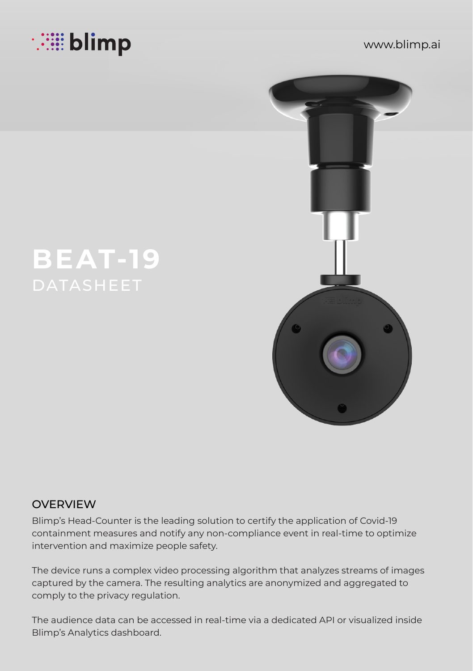

# **BEAT-19**



## **OVERVIEW**

Blimp's Head-Counter is the leading solution to certify the application of Covid-19 containment measures and notify any non-compliance event in real-time to optimize intervention and maximize people safety.

The device runs a complex video processing algorithm that analyzes streams of images captured by the camera. The resulting analytics are anonymized and aggregated to comply to the privacy regulation.

The audience data can be accessed in real-time via a dedicated API or visualized inside Blimp's Analytics dashboard.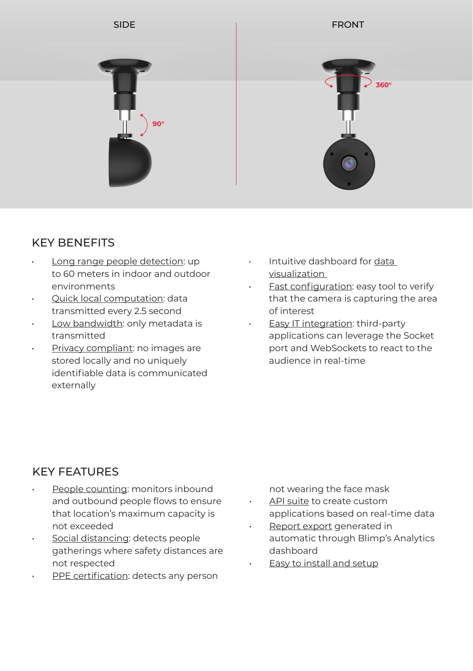

#### KEY BENEFITS

- Long range people detection: up to 60 meters in indoor and outdoor environments
- Quick local computation: data transmitted every 2.5 second
- Low bandwidth: only metadata is transmitted
- Privacy compliant: no images are stored locally and no uniquely identifiable data is communicated externally
- Intuitive dashboard for data visualization
- Fast configuration: easy tool to verify that the camera is capturing the area of interest
- Easy IT integration: third-party applications can leverage the Socket port and WebSockets to react to the audience in real-time

## KEY FEATURES

- People counting: monitors inbound and outbound people flows to ensure that location's maximum capacity is not exceeded
- Social distancing: detects people gatherings where safety distances are not respected
- PPE certification: detects any person

not wearing the face mask

- API suite to create custom applications based on real-time data
- Report export generated in automatic through Blimp's Analytics dashboard
- Easy to install and setup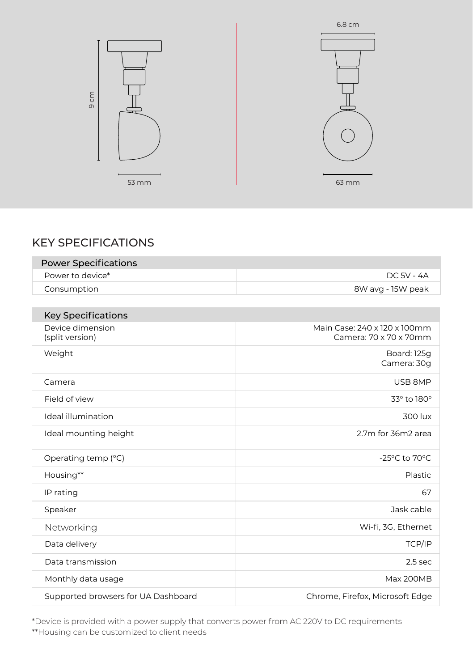

## KEY SPECIFICATIONS

| <b>Power Specifications</b> |                   |
|-----------------------------|-------------------|
| Power to device*            | DC 5V - 4A        |
| Consumption                 | 8W avg - 15W peak |
|                             |                   |

| Main Case: 240 x 120 x 100mm<br>Camera: 70 x 70 x 70mm |
|--------------------------------------------------------|
| <b>Board: 125g</b><br>Camera: 30q                      |
| USB 8MP                                                |
| 33° to 180°                                            |
| 300 lux                                                |
| 2.7m for 36m2 area                                     |
| -25 $^{\circ}$ C to 70 $^{\circ}$ C                    |
| Plastic                                                |
| 67                                                     |
| Jask cable                                             |
| Wi-fi, 3G, Ethernet                                    |
| TCP/IP                                                 |
| $2.5$ sec                                              |
|                                                        |
| <b>Max 200MB</b>                                       |
|                                                        |

\*Device is provided with a power supply that converts power from AC 220V to DC requirements \*\*Housing can be customized to client needs